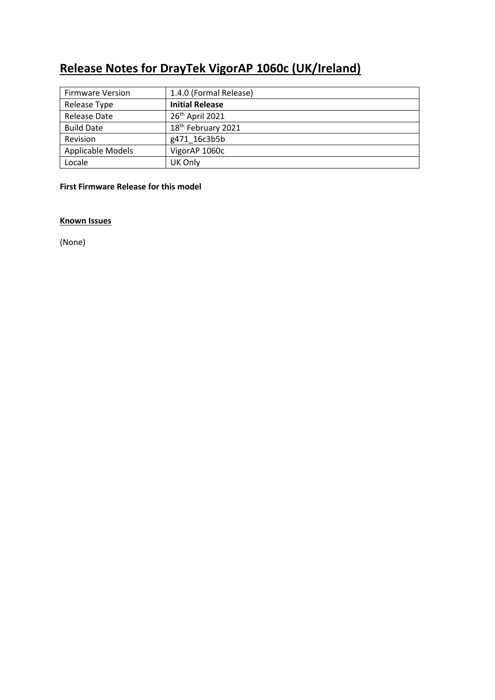# **Release Notes for DrayTek VigorAP 1060c (UK/Ireland)**

| <b>Firmware Version</b> | 1.4.0 (Formal Release) |
|-------------------------|------------------------|
| Release Type            | <b>Initial Release</b> |
| Release Date            | 26th April 2021        |
| <b>Build Date</b>       | 18th February 2021     |
| Revision                | g471 16c3b5b           |
| Applicable Models       | VigorAP 1060c          |
| Locale                  | UK Only                |

## **First Firmware Release for this model**

**Known Issues**

(None)